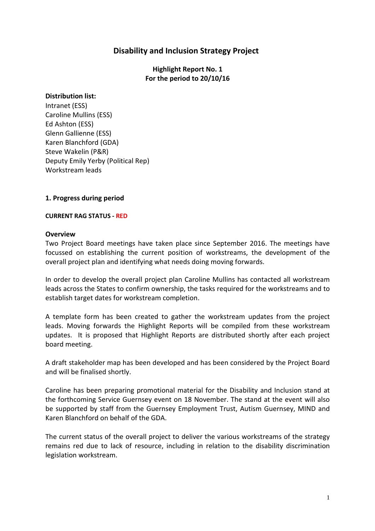# **Disability and Inclusion Strategy Project**

**Highlight Report No. 1 For the period to 20/10/16** 

#### **Distribution list:**

Intranet (ESS) Caroline Mullins (ESS) Ed Ashton (ESS) Glenn Gallienne (ESS) Karen Blanchford (GDA) Steve Wakelin (P&R) Deputy Emily Yerby (Political Rep) Workstream leads

# **1. Progress during period**

#### **CURRENT RAG STATUS - RED**

#### **Overview**

Two Project Board meetings have taken place since September 2016. The meetings have focussed on establishing the current position of workstreams, the development of the overall project plan and identifying what needs doing moving forwards.

In order to develop the overall project plan Caroline Mullins has contacted all workstream leads across the States to confirm ownership, the tasks required for the workstreams and to establish target dates for workstream completion.

A template form has been created to gather the workstream updates from the project leads. Moving forwards the Highlight Reports will be compiled from these workstream updates. It is proposed that Highlight Reports are distributed shortly after each project board meeting.

A draft stakeholder map has been developed and has been considered by the Project Board and will be finalised shortly.

Caroline has been preparing promotional material for the Disability and Inclusion stand at the forthcoming Service Guernsey event on 18 November. The stand at the event will also be supported by staff from the Guernsey Employment Trust, Autism Guernsey, MIND and Karen Blanchford on behalf of the GDA.

The current status of the overall project to deliver the various workstreams of the strategy remains red due to lack of resource, including in relation to the disability discrimination legislation workstream.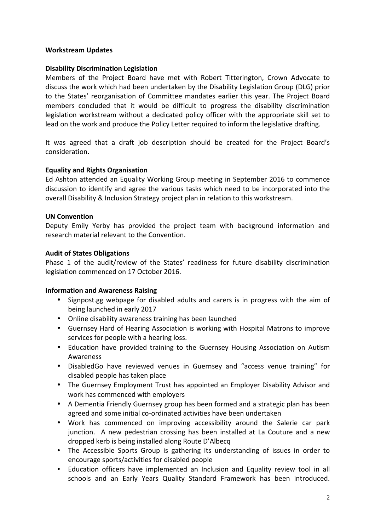# **Workstream Updates**

# **Disability Discrimination Legislation**

Members of the Project Board have met with Robert Titterington, Crown Advocate to discuss the work which had been undertaken by the Disability Legislation Group (DLG) prior to the States' reorganisation of Committee mandates earlier this year. The Project Board members concluded that it would be difficult to progress the disability discrimination legislation workstream without a dedicated policy officer with the appropriate skill set to lead on the work and produce the Policy Letter required to inform the legislative drafting.

It was agreed that a draft job description should be created for the Project Board's consideration.

# **Equality and Rights Organisation**

Ed Ashton attended an Equality Working Group meeting in September 2016 to commence discussion to identify and agree the various tasks which need to be incorporated into the overall Disability & Inclusion Strategy project plan in relation to this workstream.

#### **UN Convention**

Deputy Emily Yerby has provided the project team with background information and research material relevant to the Convention.

# **Audit of States Obligations**

Phase 1 of the audit/review of the States' readiness for future disability discrimination legislation commenced on 17 October 2016.

#### **Information and Awareness Raising**

- Signpost.gg webpage for disabled adults and carers is in progress with the aim of being launched in early 2017
- Online disability awareness training has been launched
- Guernsey Hard of Hearing Association is working with Hospital Matrons to improve services for people with a hearing loss.
- Education have provided training to the Guernsey Housing Association on Autism **Awareness**
- DisabledGo have reviewed venues in Guernsey and "access venue training" for disabled people has taken place
- The Guernsey Employment Trust has appointed an Employer Disability Advisor and work has commenced with employers
- A Dementia Friendly Guernsey group has been formed and a strategic plan has been agreed and some initial co-ordinated activities have been undertaken
- Work has commenced on improving accessibility around the Salerie car park junction. A new pedestrian crossing has been installed at La Couture and a new dropped kerb is being installed along Route D'Albecq
- The Accessible Sports Group is gathering its understanding of issues in order to encourage sports/activities for disabled people
- Education officers have implemented an Inclusion and Equality review tool in all schools and an Early Years Quality Standard Framework has been introduced.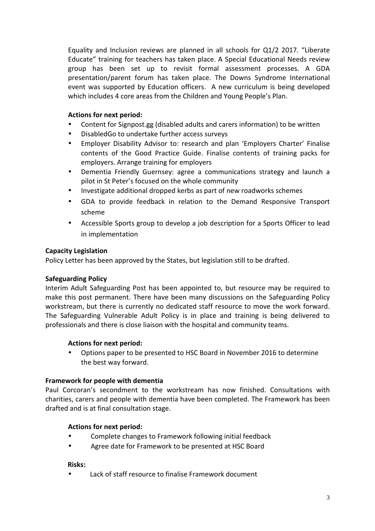Equality and Inclusion reviews are planned in all schools for Q1/2 2017. "Liberate Educate" training for teachers has taken place. A Special Educational Needs review group has been set up to revisit formal assessment processes. A GDA presentation/parent forum has taken place. The Downs Syndrome International event was supported by Education officers. A new curriculum is being developed which includes 4 core areas from the Children and Young People's Plan.

# **Actions for next period:**

- Content for Signpost.gg (disabled adults and carers information) to be written
- DisabledGo to undertake further access surveys
- Employer Disability Advisor to: research and plan 'Employers Charter' Finalise contents of the Good Practice Guide. Finalise contents of training packs for employers. Arrange training for employers
- Dementia Friendly Guernsey: agree a communications strategy and launch a pilot in St Peter's focused on the whole community
- Investigate additional dropped kerbs as part of new roadworks schemes
- GDA to provide feedback in relation to the Demand Responsive Transport scheme
- Accessible Sports group to develop a job description for a Sports Officer to lead in implementation

#### **Capacity Legislation**

Policy Letter has been approved by the States, but legislation still to be drafted.

#### **Safeguarding Policy**

Interim Adult Safeguarding Post has been appointed to, but resource may be required to make this post permanent. There have been many discussions on the Safeguarding Policy workstream, but there is currently no dedicated staff resource to move the work forward. The Safeguarding Vulnerable Adult Policy is in place and training is being delivered to professionals and there is close liaison with the hospital and community teams.

#### **Actions for next period:**

• Options paper to be presented to HSC Board in November 2016 to determine the best way forward.

#### **Framework for people with dementia**

Paul Corcoran's secondment to the workstream has now finished. Consultations with charities, carers and people with dementia have been completed. The Framework has been drafted and is at final consultation stage.

#### **Actions for next period:**

- Complete changes to Framework following initial feedback
- Agree date for Framework to be presented at HSC Board

#### **Risks:**

• Lack of staff resource to finalise Framework document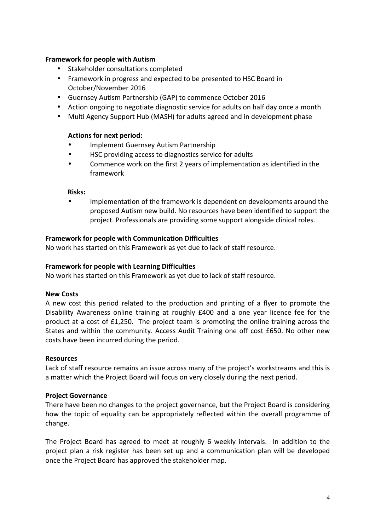# **Framework for people with Autism**

- Stakeholder consultations completed
- Framework in progress and expected to be presented to HSC Board in October/November 2016
- Guernsey Autism Partnership (GAP) to commence October 2016
- Action ongoing to negotiate diagnostic service for adults on half day once a month
- Multi Agency Support Hub (MASH) for adults agreed and in development phase

#### **Actions for next period:**

- Implement Guernsey Autism Partnership
- HSC providing access to diagnostics service for adults
- Commence work on the first 2 years of implementation as identified in the framework

#### **Risks:**

• Implementation of the framework is dependent on developments around the proposed Autism new build. No resources have been identified to support the project. Professionals are providing some support alongside clinical roles.

#### **Framework for people with Communication Difficulties**

No work has started on this Framework as yet due to lack of staff resource.

# **Framework for people with Learning Difficulties**

No work has started on this Framework as yet due to lack of staff resource.

#### **New Costs**

A new cost this period related to the production and printing of a flyer to promote the Disability Awareness online training at roughly £400 and a one year licence fee for the product at a cost of £1,250. The project team is promoting the online training across the States and within the community. Access Audit Training one off cost £650. No other new costs have been incurred during the period.

#### **Resources**

Lack of staff resource remains an issue across many of the project's workstreams and this is a matter which the Project Board will focus on very closely during the next period.

#### **Project Governance**

There have been no changes to the project governance, but the Project Board is considering how the topic of equality can be appropriately reflected within the overall programme of change.

The Project Board has agreed to meet at roughly 6 weekly intervals. In addition to the project plan a risk register has been set up and a communication plan will be developed once the Project Board has approved the stakeholder map.